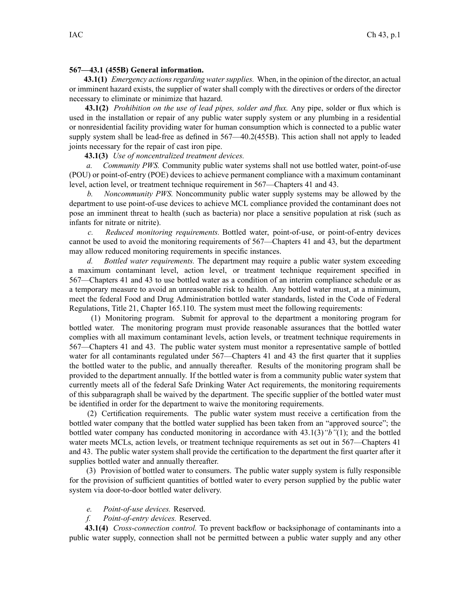## **567—43.1 (455B) General information.**

**43.1(1)** *Emergency actions regarding water supplies.* When, in the opinion of the director, an actual or imminent hazard exists, the supplier of water shall comply with the directives or orders of the director necessary to eliminate or minimize that hazard.

**43.1(2)** *Prohibition on the use of lead pipes, solder and flux.* Any pipe, solder or flux which is used in the installation or repair of any public water supply system or any plumbing in <sup>a</sup> residential or nonresidential facility providing water for human consumption which is connected to <sup>a</sup> public water supply system shall be lead-free as defined in  $567 - 40.2(455B)$ . This action shall not apply to leaded joints necessary for the repair of cast iron pipe.

## **43.1(3)** *Use of noncentralized treatment devices.*

*a. Community PWS.* Community public water systems shall not use bottled water, point-of-use (POU) or point-of-entry (POE) devices to achieve permanen<sup>t</sup> compliance with <sup>a</sup> maximum contaminant level, action level, or treatment technique requirement in 567—Chapters 41 and 43.

*b. Noncommunity PWS.* Noncommunity public water supply systems may be allowed by the department to use point-of-use devices to achieve MCL compliance provided the contaminant does not pose an imminent threat to health (such as bacteria) nor place <sup>a</sup> sensitive population at risk (such as infants for nitrate or nitrite).

*c. Reduced monitoring requirements.* Bottled water, point-of-use, or point-of-entry devices cannot be used to avoid the monitoring requirements of 567—Chapters 41 and 43, but the department may allow reduced monitoring requirements in specific instances.

*d. Bottled water requirements.* The department may require <sup>a</sup> public water system exceeding <sup>a</sup> maximum contaminant level, action level, or treatment technique requirement specified in 567—Chapters 41 and 43 to use bottled water as <sup>a</sup> condition of an interim compliance schedule or as <sup>a</sup> temporary measure to avoid an unreasonable risk to health. Any bottled water must, at <sup>a</sup> minimum, meet the federal Food and Drug Administration bottled water standards, listed in the Code of Federal Regulations, Title 21, Chapter 165.110. The system must meet the following requirements:

(1) Monitoring program. Submit for approval to the department <sup>a</sup> monitoring program for bottled water. The monitoring program must provide reasonable assurances that the bottled water complies with all maximum contaminant levels, action levels, or treatment technique requirements in 567—Chapters 41 and 43. The public water system must monitor <sup>a</sup> representative sample of bottled water for all contaminants regulated under  $567$ —Chapters 41 and 43 the first quarter that it supplies the bottled water to the public, and annually thereafter. Results of the monitoring program shall be provided to the department annually. If the bottled water is from <sup>a</sup> community public water system that currently meets all of the federal Safe Drinking Water Act requirements, the monitoring requirements of this subparagraph shall be waived by the department. The specific supplier of the bottled water must be identified in order for the department to waive the monitoring requirements.

(2) Certification requirements. The public water system must receive <sup>a</sup> certification from the bottled water company that the bottled water supplied has been taken from an "approved source"; the bottled water company has conducted monitoring in accordance with 43.1(3)*"b"*(1); and the bottled water meets MCLs, action levels, or treatment technique requirements as set out in 567—Chapters 41 and 43. The public water system shall provide the certification to the department the first quarter after it supplies bottled water and annually thereafter.

(3) Provision of bottled water to consumers. The public water supply system is fully responsible for the provision of sufficient quantities of bottled water to every person supplied by the public water system via door-to-door bottled water delivery.

## *e. Point-of-use devices.* Reserved.

## *f. Point-of-entry devices.* Reserved.

**43.1(4)** *Cross-connection control.* To preven<sup>t</sup> backflow or backsiphonage of contaminants into <sup>a</sup> public water supply, connection shall not be permitted between <sup>a</sup> public water supply and any other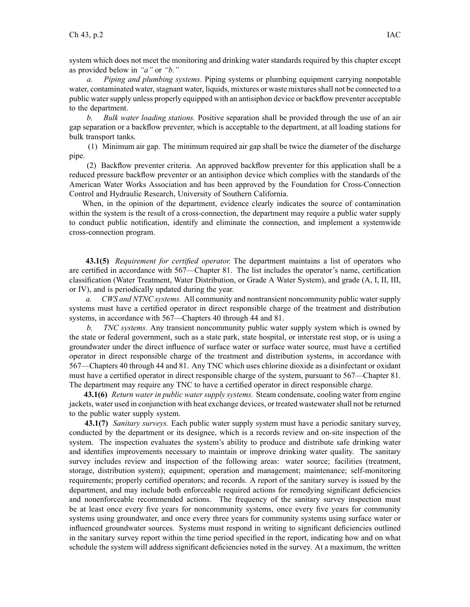system which does not meet the monitoring and drinking water standards required by this chapter excep<sup>t</sup> as provided below in *"a"* or *"b."*

*a. Piping and plumbing systems.* Piping systems or plumbing equipment carrying nonpotable water, contaminated water, stagnant water, liquids, mixtures or waste mixtures shall not be connected to a public water supply unless properly equipped with an antisiphon device or backflow preventer acceptable to the department.

*b. Bulk water loading stations.* Positive separation shall be provided through the use of an air gap separation or <sup>a</sup> backflow preventer, which is acceptable to the department, at all loading stations for bulk transport tanks.

(1) Minimum air gap. The minimum required air gap shall be twice the diameter of the discharge pipe.

(2) Backflow preventer criteria. An approved backflow preventer for this application shall be <sup>a</sup> reduced pressure backflow preventer or an antisiphon device which complies with the standards of the American Water Works Association and has been approved by the Foundation for Cross-Connection Control and Hydraulic Research, University of Southern California.

When, in the opinion of the department, evidence clearly indicates the source of contamination within the system is the result of <sup>a</sup> cross-connection, the department may require <sup>a</sup> public water supply to conduct public notification, identify and eliminate the connection, and implement <sup>a</sup> systemwide cross-connection program.

**43.1(5)** *Requirement for certified operator.* The department maintains <sup>a</sup> list of operators who are certified in accordance with 567—Chapter 81. The list includes the operator's name, certification classification (Water Treatment, Water Distribution, or Grade A Water System), and grade (A, I, II, III, or IV), and is periodically updated during the year.

*a. CWS and NTNC systems.* All community and nontransient noncommunity public watersupply systems must have <sup>a</sup> certified operator in direct responsible charge of the treatment and distribution systems, in accordance with 567—Chapters 40 through 44 and 81.

*b. TNC systems.* Any transient noncommunity public water supply system which is owned by the state or federal government, such as <sup>a</sup> state park, state hospital, or interstate rest stop, or is using <sup>a</sup> groundwater under the direct influence of surface water or surface water source, must have <sup>a</sup> certified operator in direct responsible charge of the treatment and distribution systems, in accordance with 567—Chapters 40 through 44 and 81. Any TNC which uses chlorine dioxide as <sup>a</sup> disinfectant or oxidant must have <sup>a</sup> certified operator in direct responsible charge of the system, pursuan<sup>t</sup> to 567—Chapter 81. The department may require any TNC to have <sup>a</sup> certified operator in direct responsible charge.

**43.1(6)** *Return water in public water supply systems.* Steam condensate, cooling water from engine jackets, water used in conjunction with heat exchange devices, or treated wastewatershall not be returned to the public water supply system.

**43.1(7)** *Sanitary surveys.* Each public water supply system must have <sup>a</sup> periodic sanitary survey, conducted by the department or its designee, which is <sup>a</sup> records review and on-site inspection of the system. The inspection evaluates the system's ability to produce and distribute safe drinking water and identifies improvements necessary to maintain or improve drinking water quality. The sanitary survey includes review and inspection of the following areas: water source; facilities (treatment, storage, distribution system); equipment; operation and management; maintenance; self-monitoring requirements; properly certified operators; and records. A repor<sup>t</sup> of the sanitary survey is issued by the department, and may include both enforceable required actions for remedying significant deficiencies and nonenforceable recommended actions. The frequency of the sanitary survey inspection must be at least once every five years for noncommunity systems, once every five years for community systems using groundwater, and once every three years for community systems using surface water or influenced groundwater sources. Systems must respond in writing to significant deficiencies outlined in the sanitary survey repor<sup>t</sup> within the time period specified in the report, indicating how and on what schedule the system will address significant deficiencies noted in the survey. At <sup>a</sup> maximum, the written